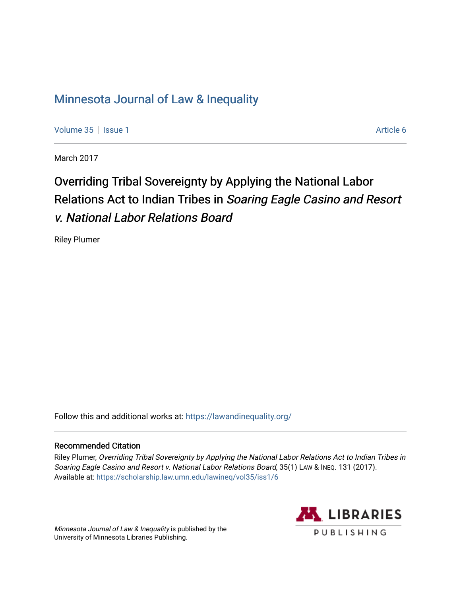# [Minnesota Journal of Law & Inequality](https://scholarship.law.umn.edu/lawineq)

[Volume 35](https://scholarship.law.umn.edu/lawineq/vol35) | [Issue 1](https://scholarship.law.umn.edu/lawineq/vol35/iss1) Article 6

March 2017

# Overriding Tribal Sovereignty by Applying the National Labor Relations Act to Indian Tribes in Soaring Eagle Casino and Resort v. National Labor Relations Board

Riley Plumer

Follow this and additional works at: <https://lawandinequality.org/>

# Recommended Citation

Riley Plumer, Overriding Tribal Sovereignty by Applying the National Labor Relations Act to Indian Tribes in Soaring Eagle Casino and Resort v. National Labor Relations Board, 35(1) LAW & INEQ. 131 (2017). Available at: [https://scholarship.law.umn.edu/lawineq/vol35/iss1/6](https://scholarship.law.umn.edu/lawineq/vol35/iss1/6?utm_source=scholarship.law.umn.edu%2Flawineq%2Fvol35%2Fiss1%2F6&utm_medium=PDF&utm_campaign=PDFCoverPages) 

Minnesota Journal of Law & Inequality is published by the University of Minnesota Libraries Publishing.

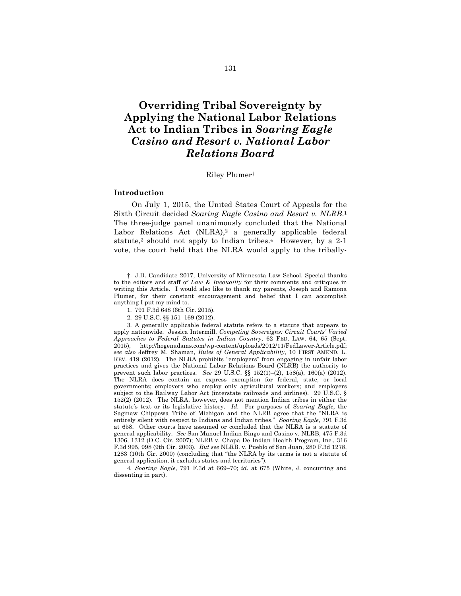# **Overriding Tribal Sovereignty by Applying the National Labor Relations Act to Indian Tribes in** *Soaring Eagle Casino and Resort v. National Labor Relations Board*

#### Riley Plumer†

#### **Introduction**

On July 1, 2015, the United States Court of Appeals for the Sixth Circuit decided *Soaring Eagle Casino and Resort v. NLRB*.1 The three-judge panel unanimously concluded that the National Labor Relations Act  $(NLRA),^2$  a generally applicable federal statute,<sup>3</sup> should not apply to Indian tribes.<sup>4</sup> However, by a 2-1 vote, the court held that the NLRA would apply to the tribally-

4*. Soaring Eagle*, 791 F.3d at 669–70; *id.* at 675 (White, J. concurring and dissenting in part).

<sup>†.</sup> J.D. Candidate 2017, University of Minnesota Law School. Special thanks to the editors and staff of *Law & Inequality* for their comments and critiques in writing this Article. I would also like to thank my parents, Joseph and Ramona Plumer, for their constant encouragement and belief that I can accomplish anything I put my mind to.

<sup>1.</sup> 791 F.3d 648 (6th Cir. 2015).

<sup>2.</sup> 29 U.S.C. §§ 151–169 (2012).

<sup>3.</sup> A generally applicable federal statute refers to a statute that appears to apply nationwide. Jessica Intermill, *Competing Sovereigns: Circuit Courts' Varied Approaches to Federal Statutes in Indian Country*, 62 FED. LAW. 64, 65 (Sept. 2015), http://hogenadams.com/wp-content/uploads/2012/11/FedLawer-Article.pdf; *see also* Jeffrey M. Shaman, *Rules of General Applicability*, 10 FIRST AMEND. L. REV. 419 (2012). The NLRA prohibits "employers" from engaging in unfair labor practices and gives the National Labor Relations Board (NLRB) the authority to prevent such labor practices. *See* 29 U.S.C. §§ 152(1)–(2), 158(a), 160(a) (2012). The NLRA does contain an express exemption for federal, state, or local governments; employers who employ only agricultural workers; and employers subject to the Railway Labor Act (interstate railroads and airlines). 29 U.S.C. § 152(2) (2012). The NLRA, however, does not mention Indian tribes in either the statute's text or its legislative history. *Id.* For purposes of *Soaring Eagle*, the Saginaw Chippewa Tribe of Michigan and the NLRB agree that the "NLRA is entirely silent with respect to Indians and Indian tribes." *Soaring Eagle*, 791 F.3d at 658. Other courts have assumed or concluded that the NLRA is a statute of general applicability. *See* San Manuel Indian Bingo and Casino v. NLRB, 475 F.3d 1306, 1312 (D.C. Cir. 2007); NLRB v. Chapa De Indian Health Program, Inc., 316 F.3d 995, 998 (9th Cir. 2003). *But see* NLRB. v. Pueblo of San Juan, 280 F.3d 1278, 1283 (10th Cir. 2000) (concluding that "the NLRA by its terms is not a statute of general application, it excludes states and territories").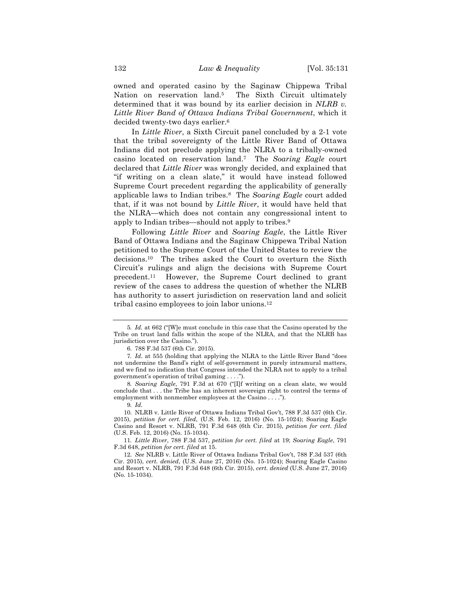owned and operated casino by the Saginaw Chippewa Tribal Nation on reservation land.<sup>5</sup> The Sixth Circuit ultimately determined that it was bound by its earlier decision in *NLRB v. Little River Band of Ottawa Indians Tribal Government*, which it decided twenty-two days earlier.6

In *Little River*, a Sixth Circuit panel concluded by a 2-1 vote that the tribal sovereignty of the Little River Band of Ottawa Indians did not preclude applying the NLRA to a tribally-owned casino located on reservation land.7 The *Soaring Eagle* court declared that *Little River* was wrongly decided, and explained that "if writing on a clean slate," it would have instead followed Supreme Court precedent regarding the applicability of generally applicable laws to Indian tribes.8 The *Soaring Eagle* court added that, if it was not bound by *Little River*, it would have held that the NLRA—which does not contain any congressional intent to apply to Indian tribes—should not apply to tribes.9

Following *Little River* and *Soaring Eagle*, the Little River Band of Ottawa Indians and the Saginaw Chippewa Tribal Nation petitioned to the Supreme Court of the United States to review the decisions.10 The tribes asked the Court to overturn the Sixth Circuit's rulings and align the decisions with Supreme Court precedent.11 However, the Supreme Court declined to grant review of the cases to address the question of whether the NLRB has authority to assert jurisdiction on reservation land and solicit tribal casino employees to join labor unions.12

8*. Soaring Eagle*, 791 F.3d at 670 ("[I]f writing on a clean slate, we would conclude that . . . the Tribe has an inherent sovereign right to control the terms of employment with nonmember employees at the Casino . . . .").

9*. Id.*

10. NLRB v. Little River of Ottawa Indians Tribal Gov't, 788 F.3d 537 (6th Cir. 2015), *petition for cert. filed*, (U.S. Feb. 12, 2016) (No. 15-1024); Soaring Eagle Casino and Resort v. NLRB, 791 F.3d 648 (6th Cir. 2015), *petition for cert. filed* (U.S. Feb. 12, 2016) (No. 15-1034).

11*. Little River*, 788 F.3d 537, *petition for cert. filed* at 19; *Soaring Eagle*, 791 F.3d 648, *petition for cert. filed* at 15.

12. *See* NLRB v. Little River of Ottawa Indians Tribal Gov't, 788 F.3d 537 (6th Cir. 2015), *cert. denied*, (U.S. June 27, 2016) (No. 15-1024); Soaring Eagle Casino and Resort v. NLRB, 791 F.3d 648 (6th Cir. 2015), *cert. denied* (U.S. June 27, 2016) (No. 15-1034).

<sup>5</sup>*. Id.* at 662 ("[W]e must conclude in this case that the Casino operated by the Tribe on trust land falls within the scope of the NLRA, and that the NLRB has jurisdiction over the Casino.").

<sup>6.</sup> 788 F.3d 537 (6th Cir. 2015).

<sup>7</sup>*. Id*. at 555 (holding that applying the NLRA to the Little River Band "does not undermine the Band's right of self-government in purely intramural matters, and we find no indication that Congress intended the NLRA not to apply to a tribal government's operation of tribal gaming . . . .").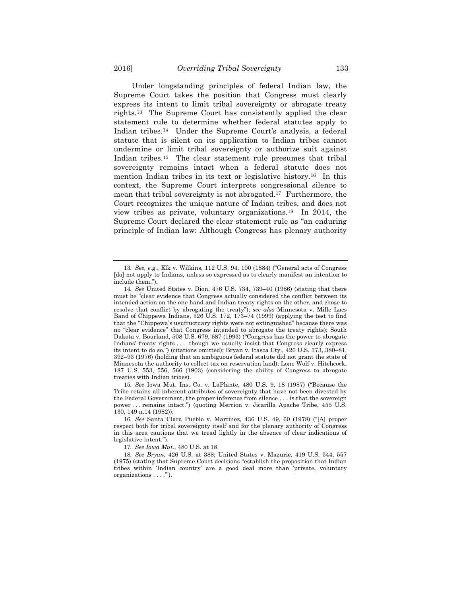Under longstanding principles of federal Indian law, the Supreme Court takes the position that Congress must clearly express its intent to limit tribal sovereignty or abrogate treaty rights.13 The Supreme Court has consistently applied the clear statement rule to determine whether federal statutes apply to Indian tribes.14 Under the Supreme Court's analysis, a federal statute that is silent on its application to Indian tribes cannot undermine or limit tribal sovereignty or authorize suit against Indian tribes.<sup>15</sup> The clear statement rule presumes that tribal sovereignty remains intact when a federal statute does not mention Indian tribes in its text or legislative history.16 In this context, the Supreme Court interprets congressional silence to mean that tribal sovereignty is not abrogated.17 Furthermore, the Court recognizes the unique nature of Indian tribes, and does not view tribes as private, voluntary organizations.18 In 2014, the Supreme Court declared the clear statement rule as "an enduring principle of Indian law: Although Congress has plenary authority

15*. See* Iowa Mut. Ins. Co. v. LaPlante, 480 U.S. 9, 18 (1987) ("Because the Tribe retains all inherent attributes of sovereignty that have not been divested by the Federal Government, the proper inference from silence . . . is that the sovereign power . . . remains intact.") (quoting Merrion v. Jicarilla Apache Tribe, 455 U.S. 130, 149 n.14 (1982)).

17*. See Iowa Mut.*, 480 U.S. at 18.

<sup>13</sup>*. See, e.g.*, Elk v. Wilkins, 112 U.S. 94, 100 (1884) ("General acts of Congress [do] not apply to Indians, unless so expressed as to clearly manifest an intention to include them.").

<sup>14</sup>*. See* United States v. Dion, 476 U.S. 734, 739–40 (1986) (stating that there must be "clear evidence that Congress actually considered the conflict between its intended action on the one hand and Indian treaty rights on the other, and chose to resolve that conflict by abrogating the treaty"); *see also* Minnesota v. Mille Lacs Band of Chippewa Indians, 526 U.S. 172, 173–74 (1999) (applying the test to find that the "Chippewa's usufructuary rights were not extinguished" because there was no "clear evidence" that Congress intended to abrogate the treaty rights); South Dakota v. Bourland, 508 U.S. 679, 687 (1993) ("Congress has the power to abrogate Indians' treaty rights . . . though we usually insist that Congress clearly express its intent to do so.") (citations omitted); Bryan v. Itasca Cty., 426 U.S. 373, 380–81, 392–93 (1976) (holding that an ambiguous federal statute did not grant the state of Minnesota the authority to collect tax on reservation land); Lone Wolf v. Hitchcock, 187 U.S. 553, 556, 566 (1903) (considering the ability of Congress to abrogate treaties with Indian tribes).

<sup>16</sup>*. See* Santa Clara Pueblo v. Martinez, 436 U.S. 49, 60 (1978) ("[A] proper respect both for tribal sovereignty itself and for the plenary authority of Congress in this area cautions that we tread lightly in the absence of clear indications of legislative intent.").

<sup>18</sup>*. See Bryan*, 426 U.S. at 388; United States v. Mazurie, 419 U.S. 544, 557 (1975) (stating that Supreme Court decisions "establish the proposition that Indian tribes within 'Indian country' are a good deal more than 'private, voluntary organizations . . . .'").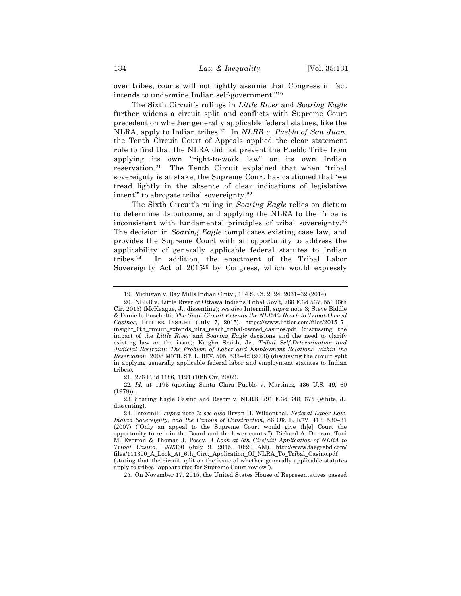over tribes, courts will not lightly assume that Congress in fact intends to undermine Indian self-government."19

The Sixth Circuit's rulings in *Little River* and *Soaring Eagle* further widens a circuit split and conflicts with Supreme Court precedent on whether generally applicable federal statues, like the NLRA, apply to Indian tribes.20 In *NLRB v. Pueblo of San Juan*, the Tenth Circuit Court of Appeals applied the clear statement rule to find that the NLRA did not prevent the Pueblo Tribe from applying its own "right-to-work law" on its own Indian reservation.21 The Tenth Circuit explained that when "tribal sovereignty is at stake, the Supreme Court has cautioned that 'we tread lightly in the absence of clear indications of legislative intent'" to abrogate tribal sovereignty.22

The Sixth Circuit's ruling in *Soaring Eagle* relies on dictum to determine its outcome, and applying the NLRA to the Tribe is inconsistent with fundamental principles of tribal sovereignty.23 The decision in *Soaring Eagle* complicates existing case law, and provides the Supreme Court with an opportunity to address the applicability of generally applicable federal statutes to Indian tribes.24 In addition, the enactment of the Tribal Labor Sovereignty Act of 2015<sup>25</sup> by Congress, which would expressly

21. 276 F.3d 1186, 1191 (10th Cir. 2002).

22*. Id.* at 1195 (quoting Santa Clara Pueblo v. Martinez, 436 U.S. 49, 60 (1978)).

23. Soaring Eagle Casino and Resort v. NLRB, 791 F.3d 648, 675 (White, J., dissenting).

25. On November 17, 2015, the United States House of Representatives passed

<sup>19.</sup> Michigan v. Bay Mills Indian Cmty., 134 S. Ct. 2024, 2031–32 (2014).

<sup>20.</sup> NLRB v. Little River of Ottawa Indians Tribal Gov't, 788 F.3d 537, 556 (6th Cir. 2015) (McKeague, J., dissenting); *see also* Intermill, *supra* note 3; Steve Biddle & Danielle Fuschetti, *The Sixth Circuit Extends the NLRA's Reach to Tribal-Owned Casinos*, LITTLER INSIGHT (July 7, 2015), https://www.littler.com/files/2015\_7\_ insight\_6th\_circuit\_extends\_nlra\_reach\_tribal-owned\_casinos.pdf (discussing the impact of the *Little River* and *Soaring Eagle* decisions and the need to clarify existing law on the issue); Kaighn Smith, Jr., *Tribal Self-Determination and Judicial Restraint: The Problem of Labor and Employment Relations Within the Reservation*, 2008 MICH. ST. L. REV. 505, 533–42 (2008) (discussing the circuit split in applying generally applicable federal labor and employment statutes to Indian tribes).

<sup>24.</sup> Intermill, *supra* note 3; *see also* Bryan H. Wildenthal, *Federal Labor Law, Indian Sovereignty, and the Canons of Construction*, 86 OR. L. REV. 413, 530–31 (2007) ("Only an appeal to the Supreme Court would give th[e] Court the opportunity to rein in the Board and the lower courts."); Richard A. Duncan, Toni M. Everton & Thomas J. Posey, *A Look at 6th Circ[uit] Application of NLRA to Tribal Casino*, LAW360 (July 9, 2015, 10:20 AM), http://www.faegrebd.com/ files/111300\_A\_Look\_At\_6th\_Circ.\_Application\_Of\_NLRA\_To\_Tribal\_Casino.pdf (stating that the circuit split on the issue of whether generally applicable statutes apply to tribes "appears ripe for Supreme Court review").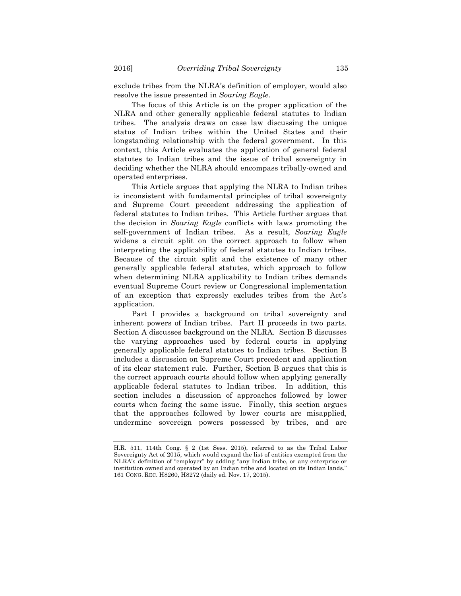exclude tribes from the NLRA's definition of employer, would also resolve the issue presented in *Soaring Eagle*.

The focus of this Article is on the proper application of the NLRA and other generally applicable federal statutes to Indian tribes. The analysis draws on case law discussing the unique status of Indian tribes within the United States and their longstanding relationship with the federal government. In this context, this Article evaluates the application of general federal statutes to Indian tribes and the issue of tribal sovereignty in deciding whether the NLRA should encompass tribally-owned and operated enterprises.

This Article argues that applying the NLRA to Indian tribes is inconsistent with fundamental principles of tribal sovereignty and Supreme Court precedent addressing the application of federal statutes to Indian tribes. This Article further argues that the decision in *Soaring Eagle* conflicts with laws promoting the self-government of Indian tribes. As a result, *Soaring Eagle* widens a circuit split on the correct approach to follow when interpreting the applicability of federal statutes to Indian tribes. Because of the circuit split and the existence of many other generally applicable federal statutes, which approach to follow when determining NLRA applicability to Indian tribes demands eventual Supreme Court review or Congressional implementation of an exception that expressly excludes tribes from the Act's application.

Part I provides a background on tribal sovereignty and inherent powers of Indian tribes. Part II proceeds in two parts. Section A discusses background on the NLRA. Section B discusses the varying approaches used by federal courts in applying generally applicable federal statutes to Indian tribes. Section B includes a discussion on Supreme Court precedent and application of its clear statement rule. Further, Section B argues that this is the correct approach courts should follow when applying generally applicable federal statutes to Indian tribes. In addition, this section includes a discussion of approaches followed by lower courts when facing the same issue. Finally, this section argues that the approaches followed by lower courts are misapplied, undermine sovereign powers possessed by tribes, and are

H.R. 511, 114th Cong. § 2 (1st Sess. 2015), referred to as the Tribal Labor Sovereignty Act of 2015, which would expand the list of entities exempted from the NLRA's definition of "employer" by adding "any Indian tribe, or any enterprise or institution owned and operated by an Indian tribe and located on its Indian lands." 161 CONG. REC. H8260, H8272 (daily ed. Nov. 17, 2015).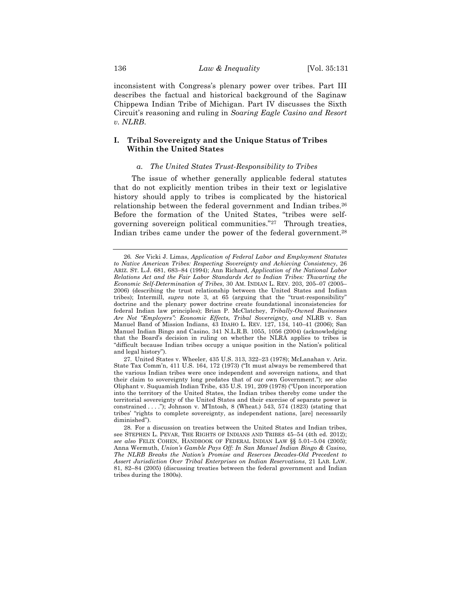inconsistent with Congress's plenary power over tribes. Part III describes the factual and historical background of the Saginaw Chippewa Indian Tribe of Michigan. Part IV discusses the Sixth Circuit's reasoning and ruling in *Soaring Eagle Casino and Resort v. NLRB*.

# **I. Tribal Sovereignty and the Unique Status of Tribes Within the United States**

# *a. The United States Trust-Responsibility to Tribes*

The issue of whether generally applicable federal statutes that do not explicitly mention tribes in their text or legislative history should apply to tribes is complicated by the historical relationship between the federal government and Indian tribes.26 Before the formation of the United States, "tribes were selfgoverning sovereign political communities."27 Through treaties, Indian tribes came under the power of the federal government.28

<sup>26</sup>*. See* Vicki J. Limas, *Application of Federal Labor and Employment Statutes to Native American Tribes: Respecting Sovereignty and Achieving Consistency*, 26 ARIZ. ST. L.J. 681, 683–84 (1994); Ann Richard, *Application of the National Labor Relations Act and the Fair Labor Standards Act to Indian Tribes: Thwarting the Economic Self-Determination of Tribes*, 30 AM. INDIAN L. REV. 203, 205–07 (2005– 2006) (describing the trust relationship between the United States and Indian tribes); Intermill, *supra* note 3, at 65 (arguing that the "trust-responsibility" doctrine and the plenary power doctrine create foundational inconsistencies for federal Indian law principles); Brian P. McClatchey, *Tribally-Owned Businesses Are Not "Employers": Economic Effects, Tribal Sovereignty, and* NLRB v. San Manuel Band of Mission Indians, 43 IDAHO L. REV. 127, 134, 140*–*41 (2006); San Manuel Indian Bingo and Casino, 341 N.L.R.B. 1055, 1056 (2004) (acknowledging that the Board's decision in ruling on whether the NLRA applies to tribes is "difficult because Indian tribes occupy a unique position in the Nation's political and legal history").

<sup>27.</sup> United States v. Wheeler, 435 U.S. 313, 322–23 (1978); McLanahan v. Ariz. State Tax Comm'n, 411 U.S. 164, 172 (1973) ("It must always be remembered that the various Indian tribes were once independent and sovereign nations, and that their claim to sovereignty long predates that of our own Government."); *see also*  Oliphant v. Suquamish Indian Tribe, 435 U.S. 191, 209 (1978) ("Upon incorporation into the territory of the United States, the Indian tribes thereby come under the territorial sovereignty of the United States and their exercise of separate power is constrained . . . ."); Johnson v. M'Intosh, 8 (Wheat.) 543, 574 (1823) (stating that tribes' "rights to complete sovereignty, as independent nations, [are] necessarily diminished").

<sup>28.</sup> For a discussion on treaties between the United States and Indian tribes, see STEPHEN L. PEVAR, THE RIGHTS OF INDIANS AND TRIBES 45–54 (4th ed. 2012); *see also* FELIX COHEN, HANDBOOK OF FEDERAL INDIAN LAW §§ 5.01–5.04 (2005); Anna Wermuth, *Union's Gamble Pays Off: In San Manuel Indian Bingo & Casino, The NLRB Breaks the Nation's Promise and Reserves Decades-Old Precedent to Assert Jurisdiction Over Tribal Enterprises on Indian Reservations*, 21 LAB. LAW. 81, 82–84 (2005) (discussing treaties between the federal government and Indian tribes during the 1800s).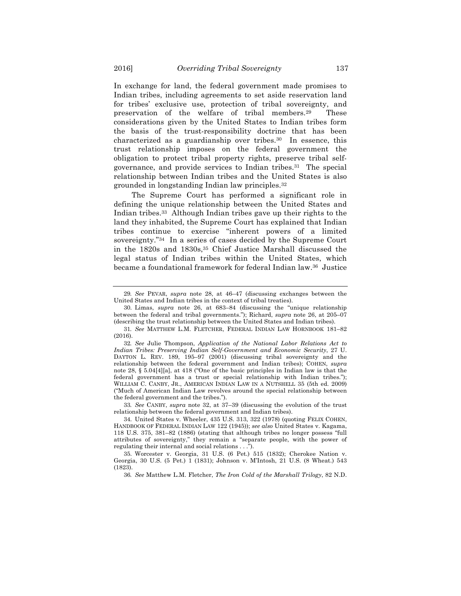In exchange for land, the federal government made promises to Indian tribes, including agreements to set aside reservation land for tribes' exclusive use, protection of tribal sovereignty, and preservation of the welfare of tribal members.29 These considerations given by the United States to Indian tribes form the basis of the trust-responsibility doctrine that has been characterized as a guardianship over tribes.30 In essence, this trust relationship imposes on the federal government the obligation to protect tribal property rights, preserve tribal selfgovernance, and provide services to Indian tribes.31 The special relationship between Indian tribes and the United States is also grounded in longstanding Indian law principles.32

The Supreme Court has performed a significant role in defining the unique relationship between the United States and Indian tribes.33 Although Indian tribes gave up their rights to the land they inhabited, the Supreme Court has explained that Indian tribes continue to exercise "inherent powers of a limited sovereignty."34 In a series of cases decided by the Supreme Court in the 1820s and 1830s,35 Chief Justice Marshall discussed the legal status of Indian tribes within the United States, which became a foundational framework for federal Indian law.36 Justice

33*. See* CANBY, *supra* note 32, at 37–39 (discussing the evolution of the trust relationship between the federal government and Indian tribes).

<sup>29</sup>*. See* PEVAR, *supra* note 28, at 46–47 (discussing exchanges between the United States and Indian tribes in the context of tribal treaties).

<sup>30.</sup> Limas, *supra* note 26, at 683–84 (discussing the "unique relationship between the federal and tribal governments."); Richard, *supra* note 26, at 205–07 (describing the trust relationship between the United States and Indian tribes).

<sup>31</sup>*. See* MATTHEW L.M. FLETCHER, FEDERAL INDIAN LAW HORNBOOK 181–82 (2016).

<sup>32</sup>*. See* Julie Thompson, *Application of the National Labor Relations Act to Indian Tribes: Preserving Indian Self-Government and Economic Security*, 27 U. DAYTON L. REV. 189, 195–97 (2001) (discussing tribal sovereignty and the relationship between the federal government and Indian tribes); COHEN, *supra*  note 28, § 5.04[4][a], at 418 ("One of the basic principles in Indian law is that the federal government has a trust or special relationship with Indian tribes."); WILLIAM C. CANBY, JR., AMERICAN INDIAN LAW IN A NUTSHELL 35 (5th ed. 2009) ("Much of American Indian Law revolves around the special relationship between the federal government and the tribes.").

<sup>34.</sup> United States v. Wheeler, 435 U.S. 313, 322 (1978) (quoting FELIX COHEN, HANDBOOK OF FEDERAL INDIAN LAW 122 (1945)); *see also* United States v. Kagama, 118 U.S. 375, 381–82 (1886) (stating that although tribes no longer possess "full attributes of sovereignty," they remain a "separate people, with the power of regulating their internal and social relations . . .").

<sup>35.</sup> Worcester v. Georgia, 31 U.S. (6 Pet.) 515 (1832); Cherokee Nation v. Georgia, 30 U.S. (5 Pet.) 1 (1831); Johnson v. M'Intosh, 21 U.S. (8 Wheat.) 543 (1823).

<sup>36</sup>*. See* Matthew L.M. Fletcher, *The Iron Cold of the Marshall Trilogy*, 82 N.D.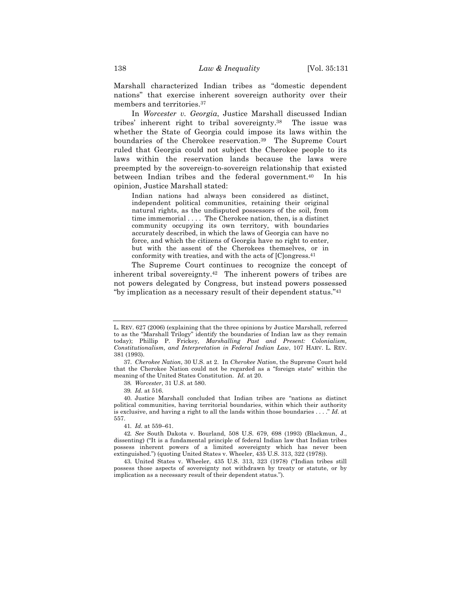Marshall characterized Indian tribes as "domestic dependent nations" that exercise inherent sovereign authority over their members and territories.37

In *Worcester v. Georgia*, Justice Marshall discussed Indian tribes' inherent right to tribal sovereignty.38 The issue was whether the State of Georgia could impose its laws within the boundaries of the Cherokee reservation.39 The Supreme Court ruled that Georgia could not subject the Cherokee people to its laws within the reservation lands because the laws were preempted by the sovereign-to-sovereign relationship that existed between Indian tribes and the federal government.40 In his opinion, Justice Marshall stated:

Indian nations had always been considered as distinct, independent political communities, retaining their original natural rights, as the undisputed possessors of the soil, from time immemorial . . . . The Cherokee nation, then, is a distinct community occupying its own territory, with boundaries accurately described, in which the laws of Georgia can have no force, and which the citizens of Georgia have no right to enter, but with the assent of the Cherokees themselves, or in conformity with treaties, and with the acts of [C]ongress.41

The Supreme Court continues to recognize the concept of inherent tribal sovereignty.42 The inherent powers of tribes are not powers delegated by Congress, but instead powers possessed "by implication as a necessary result of their dependent status."43

41*. Id.* at 559–61.

L. REV. 627 (2006) (explaining that the three opinions by Justice Marshall, referred to as the "Marshall Trilogy" identify the boundaries of Indian law as they remain today); Phillip P. Frickey*, Marshalling Past and Present: Colonialism, Constitutionalism, and Interpretation in Federal Indian Law*, 107 HARV. L. REV. 381 (1993).

<sup>37.</sup> *Cherokee Nation*, 30 U.S. at 2. In *Cherokee Nation*, the Supreme Court held that the Cherokee Nation could not be regarded as a "foreign state" within the meaning of the United States Constitution. *Id.* at 20.

<sup>38</sup>*. Worcester*, 31 U.S. at 580.

<sup>39</sup>*. Id.* at 516.

<sup>40.</sup> Justice Marshall concluded that Indian tribes are "nations as distinct political communities, having territorial boundaries, within which their authority is exclusive, and having a right to all the lands within those boundaries . . . ." *Id.* at 557.

<sup>42</sup>*. See* South Dakota v. Bourland, 508 U.S. 679, 698 (1993) (Blackmun, J., dissenting) ("It is a fundamental principle of federal Indian law that Indian tribes possess inherent powers of a limited sovereignty which has never been extinguished.") (quoting United States v. Wheeler, 435 U.S. 313, 322 (1978)).

<sup>43.</sup> United States v. Wheeler, 435 U.S. 313, 323 (1978) ("Indian tribes still possess those aspects of sovereignty not withdrawn by treaty or statute, or by implication as a necessary result of their dependent status.").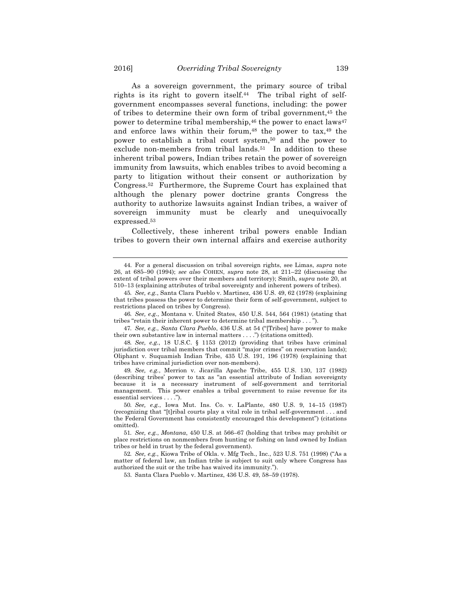As a sovereign government, the primary source of tribal rights is its right to govern itself.<sup>44</sup> The tribal right of selfgovernment encompasses several functions, including: the power of tribes to determine their own form of tribal government,45 the power to determine tribal membership,  $46$  the power to enact laws  $47$ and enforce laws within their forum, $48$  the power to tax, $49$  the power to establish a tribal court system,50 and the power to exclude non-members from tribal lands.<sup>51</sup> In addition to these inherent tribal powers, Indian tribes retain the power of sovereign immunity from lawsuits, which enables tribes to avoid becoming a party to litigation without their consent or authorization by Congress.52 Furthermore, the Supreme Court has explained that although the plenary power doctrine grants Congress the authority to authorize lawsuits against Indian tribes, a waiver of sovereign immunity must be clearly and unequivocally expressed.53

Collectively, these inherent tribal powers enable Indian tribes to govern their own internal affairs and exercise authority

46*. See, e.g.*, Montana v. United States, 450 U.S. 544, 564 (1981) (stating that tribes "retain their inherent power to determine tribal membership . . . ").

47*. See, e.g.*, *Santa Clara Pueblo*, 436 U.S. at 54 ("[Tribes] have power to make their own substantive law in internal matters . . . .") (citations omitted).

48*. See, e.g.*, 18 U.S.C. § 1153 (2012) (providing that tribes have criminal jurisdiction over tribal members that commit "major crimes" on reservation lands); Oliphant v. Suquamish Indian Tribe, 435 U.S. 191, 196 (1978) (explaining that tribes have criminal jurisdiction over non-members).

49*. See, e.g.*, Merrion v. Jicarilla Apache Tribe, 455 U.S. 130, 137 (1982) (describing tribes' power to tax as "an essential attribute of Indian sovereignty because it is a necessary instrument of self-government and territorial management. This power enables a tribal government to raise revenue for its essential services . . . .").

50*. See, e.g.*, Iowa Mut. Ins. Co. v. LaPlante, 480 U.S. 9, 14–15 (1987) (recognizing that "[t]ribal courts play a vital role in tribal self-government . . . and the Federal Government has consistently encouraged this development") (citations omitted).

51*. See, e.g.*, *Montana*, 450 U.S. at 566–67 (holding that tribes may prohibit or place restrictions on nonmembers from hunting or fishing on land owned by Indian tribes or held in trust by the federal government).

52*. See, e.g.*, Kiowa Tribe of Okla. v. Mfg Tech., Inc., 523 U.S. 751 (1998) ("As a matter of federal law, an Indian tribe is subject to suit only where Congress has authorized the suit or the tribe has waived its immunity.").

53. Santa Clara Pueblo v. Martinez, 436 U.S. 49, 58–59 (1978).

<sup>44.</sup> For a general discussion on tribal sovereign rights, see Limas, *supra* note 26, at 685–90 (1994); *see also* COHEN, *supra* note 28, at 211–22 (discussing the extent of tribal powers over their members and territory); Smith, *supra* note 20, at 510–13 (explaining attributes of tribal sovereignty and inherent powers of tribes).

<sup>45</sup>*. See, e.g.*, Santa Clara Pueblo v. Martinez, 436 U.S. 49, 62 (1978) (explaining that tribes possess the power to determine their form of self-government, subject to restrictions placed on tribes by Congress).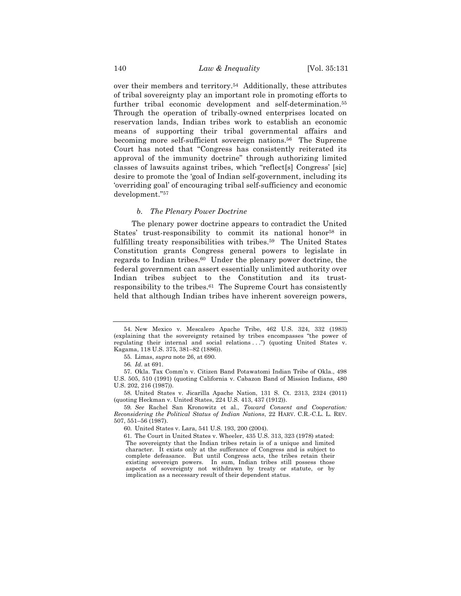over their members and territory.54 Additionally, these attributes of tribal sovereignty play an important role in promoting efforts to further tribal economic development and self-determination.<sup>55</sup> Through the operation of tribally-owned enterprises located on reservation lands, Indian tribes work to establish an economic means of supporting their tribal governmental affairs and becoming more self-sufficient sovereign nations.<sup>56</sup> The Supreme Court has noted that "Congress has consistently reiterated its approval of the immunity doctrine" through authorizing limited classes of lawsuits against tribes, which "reflect[s] Congress' [sic] desire to promote the 'goal of Indian self-government, including its 'overriding goal' of encouraging tribal self-sufficiency and economic development."57

# *b. The Plenary Power Doctrine*

The plenary power doctrine appears to contradict the United States' trust-responsibility to commit its national honor<sup>58</sup> in fulfilling treaty responsibilities with tribes.59 The United States Constitution grants Congress general powers to legislate in regards to Indian tribes.60 Under the plenary power doctrine, the federal government can assert essentially unlimited authority over Indian tribes subject to the Constitution and its trustresponsibility to the tribes.61 The Supreme Court has consistently held that although Indian tribes have inherent sovereign powers,

<sup>54.</sup> New Mexico v. Mescalero Apache Tribe, 462 U.S. 324, 332 (1983) (explaining that the sovereignty retained by tribes encompasses "the power of regulating their internal and social relations . . .") (quoting United States v. Kagama, 118 U.S. 375, 381–82 (1886)).

<sup>55.</sup> Limas, *supra* note 26, at 690.

<sup>56</sup>*. Id.* at 691.

<sup>57.</sup> Okla. Tax Comm'n v. Citizen Band Potawatomi Indian Tribe of Okla., 498 U.S. 505, 510 (1991) (quoting California v. Cabazon Band of Mission Indians, 480 U.S. 202, 216 (1987)).

<sup>58.</sup> United States v. Jicarilla Apache Nation, 131 S. Ct. 2313, 2324 (2011) (quoting Heckman v. United States, 224 U.S. 413, 437 (1912)).

<sup>59</sup>*. See* Rachel San Kronowitz et al., *Toward Consent and Cooperation: Reconsidering the Political Status of Indian Nations*, 22 HARV. C.R.-C.L. L. REV. 507, 551–56 (1987).

<sup>60.</sup> United States v. Lara, 541 U.S. 193, 200 (2004).

<sup>61.</sup> The Court in United States v. Wheeler, 435 U.S. 313, 323 (1978) stated: The sovereignty that the Indian tribes retain is of a unique and limited character. It exists only at the sufferance of Congress and is subject to complete defeasance. But until Congress acts, the tribes retain their existing sovereign powers. In sum, Indian tribes still possess those aspects of sovereignty not withdrawn by treaty or statute, or by implication as a necessary result of their dependent status.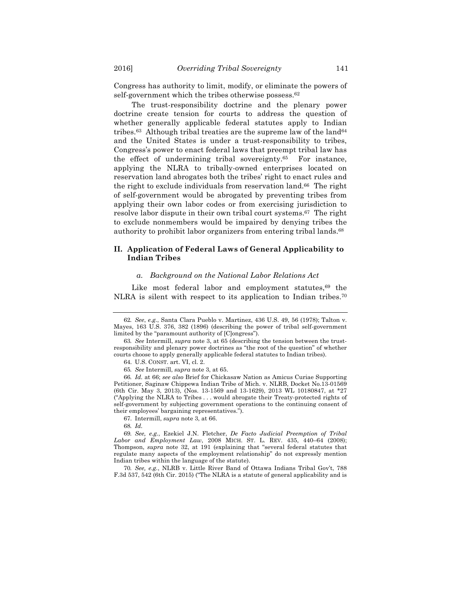Congress has authority to limit, modify, or eliminate the powers of self-government which the tribes otherwise possess.<sup>62</sup>

The trust-responsibility doctrine and the plenary power doctrine create tension for courts to address the question of whether generally applicable federal statutes apply to Indian tribes.<sup>63</sup> Although tribal treaties are the supreme law of the land<sup>64</sup> and the United States is under a trust-responsibility to tribes, Congress's power to enact federal laws that preempt tribal law has the effect of undermining tribal sovereignty.65 For instance, applying the NLRA to tribally-owned enterprises located on reservation land abrogates both the tribes' right to enact rules and the right to exclude individuals from reservation land.66 The right of self-government would be abrogated by preventing tribes from applying their own labor codes or from exercising jurisdiction to resolve labor dispute in their own tribal court systems.67 The right to exclude nonmembers would be impaired by denying tribes the authority to prohibit labor organizers from entering tribal lands.68

# **II. Application of Federal Laws of General Applicability to Indian Tribes**

#### *a. Background on the National Labor Relations Act*

Like most federal labor and employment statutes,<sup>69</sup> the NLRA is silent with respect to its application to Indian tribes.70

67. Intermill, *supra* note 3, at 66.

70*. See, e.g.*, NLRB v. Little River Band of Ottawa Indians Tribal Gov't, 788 F.3d 537, 542 (6th Cir. 2015) ("The NLRA is a statute of general applicability and is

<sup>62</sup>*. See*, *e.g.*, Santa Clara Pueblo v. Martinez, 436 U.S. 49, 56 (1978); Talton v. Mayes, 163 U.S. 376, 382 (1896) (describing the power of tribal self-government limited by the "paramount authority of [C]ongress").

<sup>63</sup>*. See* Intermill, *supra* note 3, at 65 (describing the tension between the trustresponsibility and plenary power doctrines as "the root of the question" of whether courts choose to apply generally applicable federal statutes to Indian tribes).

<sup>64.</sup> U.S. CONST. art. VI, cl. 2.

<sup>65</sup>*. See* Intermill, *supra* note 3, at 65.

<sup>66</sup>*. Id.* at 66; *see also* Brief for Chickasaw Nation as Amicus Curiae Supporting Petitioner, Saginaw Chippewa Indian Tribe of Mich. v. NLRB, Docket No.13-01569 (6th Cir. May 3, 2013), (Nos. 13-1569 and 13-1629), 2013 WL 10180847, at \*27 ("Applying the NLRA to Tribes . . . would abrogate their Treaty-protected rights of self-government by subjecting government operations to the continuing consent of their employees' bargaining representatives.").

<sup>68</sup>*. Id.*

<sup>69</sup>*. See, e.g.*, Ezekiel J.N. Fletcher, *De Facto Judicial Preemption of Tribal Labor and Employment Law*, 2008 MICH. ST. L. REV. 435, 440–64 (2008); Thompson, *supra* note 32, at 191 (explaining that "several federal statutes that regulate many aspects of the employment relationship" do not expressly mention Indian tribes within the language of the statute).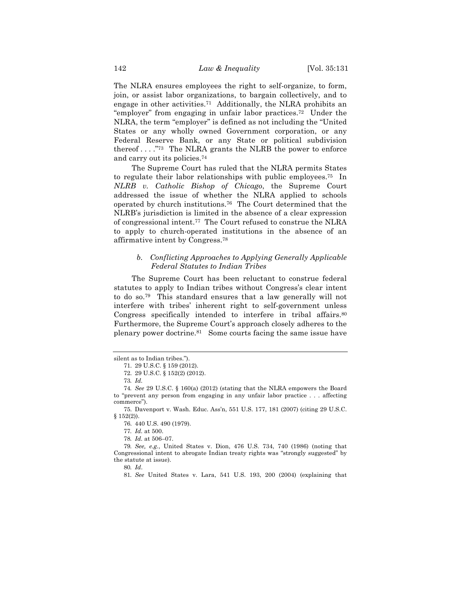The NLRA ensures employees the right to self-organize, to form, join, or assist labor organizations, to bargain collectively, and to engage in other activities.71 Additionally, the NLRA prohibits an "employer" from engaging in unfair labor practices.72 Under the NLRA, the term "employer" is defined as not including the "United States or any wholly owned Government corporation, or any Federal Reserve Bank, or any State or political subdivision thereof . . . ."73 The NLRA grants the NLRB the power to enforce and carry out its policies.74

The Supreme Court has ruled that the NLRA permits States to regulate their labor relationships with public employees.75 In *NLRB v. Catholic Bishop of Chicago*, the Supreme Court addressed the issue of whether the NLRA applied to schools operated by church institutions.76 The Court determined that the NLRB's jurisdiction is limited in the absence of a clear expression of congressional intent.77 The Court refused to construe the NLRA to apply to church-operated institutions in the absence of an affirmative intent by Congress.78

# *b. Conflicting Approaches to Applying Generally Applicable Federal Statutes to Indian Tribes*

The Supreme Court has been reluctant to construe federal statutes to apply to Indian tribes without Congress's clear intent to do so.79 This standard ensures that a law generally will not interfere with tribes' inherent right to self-government unless Congress specifically intended to interfere in tribal affairs.<sup>80</sup> Furthermore, the Supreme Court's approach closely adheres to the plenary power doctrine.81 Some courts facing the same issue have

78*. Id.* at 506–07.

80*. Id*.

silent as to Indian tribes.").

<sup>71.</sup> 29 U.S.C. § 159 (2012).

<sup>72.</sup> 29 U.S.C. § 152(2) (2012).

<sup>73</sup>*. Id.*

<sup>74</sup>*. See* 29 U.S.C. § 160(a) (2012) (stating that the NLRA empowers the Board to "prevent any person from engaging in any unfair labor practice . . . affecting commerce").

<sup>75.</sup> Davenport v. Wash. Educ. Ass'n, 551 U.S. 177, 181 (2007) (citing 29 U.S.C.  $§ 152(2)).$ 

<sup>76.</sup> 440 U.S. 490 (1979).

<sup>77</sup>*. Id.* at 500.

<sup>79</sup>*. See, e.g.*, United States v. Dion, 476 U.S. 734, 740 (1986) (noting that Congressional intent to abrogate Indian treaty rights was "strongly suggested" by the statute at issue).

<sup>81</sup>*. See* United States v. Lara, 541 U.S. 193, 200 (2004) (explaining that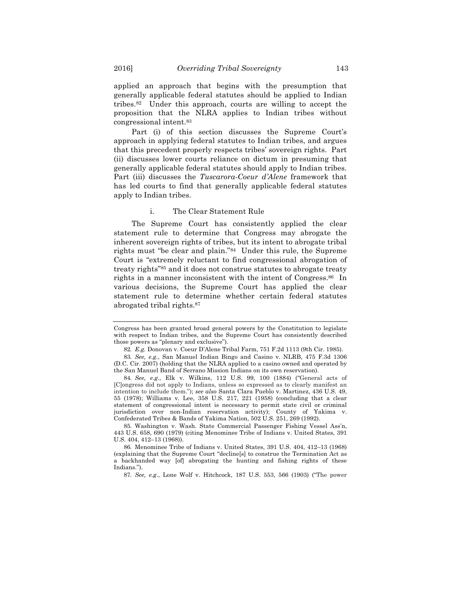applied an approach that begins with the presumption that generally applicable federal statutes should be applied to Indian tribes.82 Under this approach, courts are willing to accept the proposition that the NLRA applies to Indian tribes without congressional intent.83

Part (i) of this section discusses the Supreme Court's approach in applying federal statutes to Indian tribes, and argues that this precedent properly respects tribes' sovereign rights. Part (ii) discusses lower courts reliance on dictum in presuming that generally applicable federal statutes should apply to Indian tribes. Part (iii) discusses the *Tuscarora*-*Coeur d'Alene* framework that has led courts to find that generally applicable federal statutes apply to Indian tribes.

# i. The Clear Statement Rule

The Supreme Court has consistently applied the clear statement rule to determine that Congress may abrogate the inherent sovereign rights of tribes, but its intent to abrogate tribal rights must "be clear and plain."84 Under this rule, the Supreme Court is "extremely reluctant to find congressional abrogation of treaty rights"85 and it does not construe statutes to abrogate treaty rights in a manner inconsistent with the intent of Congress.86 In various decisions, the Supreme Court has applied the clear statement rule to determine whether certain federal statutes abrogated tribal rights.87

Congress has been granted broad general powers by the Constitution to legislate with respect to Indian tribes, and the Supreme Court has consistently described those powers as "plenary and exclusive").

<sup>82</sup>*. E.g.* Donovan v. Coeur D'Alene Tribal Farm, 751 F.2d 1113 (9th Cir. 1985).

<sup>83</sup>*. See, e.g.*, San Manuel Indian Bingo and Casino v. NLRB, 475 F.3d 1306 (D.C. Cir. 2007) (holding that the NLRA applied to a casino owned and operated by the San Manuel Band of Serrano Mission Indians on its own reservation).

<sup>84</sup>*. See, e.g.*, Elk v. Wilkins, 112 U.S. 99, 100 (1884) ("General acts of [C]ongress did not apply to Indians, unless so expressed as to clearly manifest an intention to include them."); *see also* Santa Clara Pueblo v. Martinez, 436 U.S. 49, 55 (1978); Williams v. Lee, 358 U.S. 217, 221 (1958) (concluding that a clear statement of congressional intent is necessary to permit state civil or criminal jurisdiction over non-Indian reservation activity); County of Yakima v. Confederated Tribes & Bands of Yakima Nation, 502 U.S. 251, 269 (1992).

<sup>85.</sup> Washington v. Wash. State Commercial Passenger Fishing Vessel Ass'n, 443 U.S. 658, 690 (1979) (citing Menominee Tribe of Indians v. United States, 391 U.S. 404, 412–13 (1968)).

<sup>86</sup>*.* Menominee Tribe of Indians v. United States, 391 U.S. 404, 412–13 (1968) (explaining that the Supreme Court "decline[s] to construe the Termination Act as a backhanded way [of] abrogating the hunting and fishing rights of these Indians.").

<sup>87</sup>*. See, e.g.*, Lone Wolf v. Hitchcock, 187 U.S. 553, 566 (1903) ("The power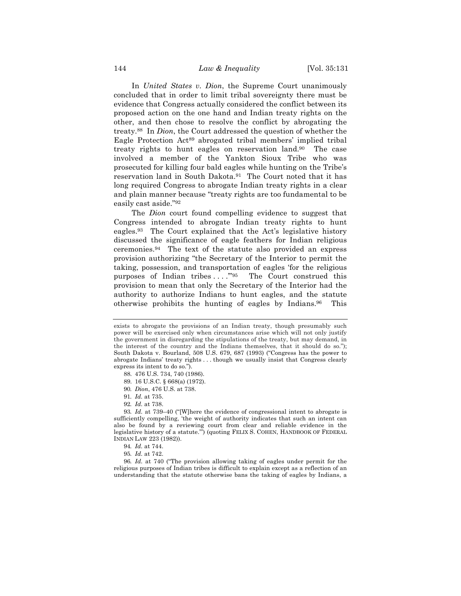In *United States v. Dion*, the Supreme Court unanimously concluded that in order to limit tribal sovereignty there must be evidence that Congress actually considered the conflict between its proposed action on the one hand and Indian treaty rights on the other, and then chose to resolve the conflict by abrogating the treaty.88 In *Dion*, the Court addressed the question of whether the Eagle Protection Act89 abrogated tribal members' implied tribal treaty rights to hunt eagles on reservation land.90 The case involved a member of the Yankton Sioux Tribe who was prosecuted for killing four bald eagles while hunting on the Tribe's reservation land in South Dakota.91 The Court noted that it has long required Congress to abrogate Indian treaty rights in a clear and plain manner because "treaty rights are too fundamental to be easily cast aside."92

The *Dion* court found compelling evidence to suggest that Congress intended to abrogate Indian treaty rights to hunt eagles.93 The Court explained that the Act's legislative history discussed the significance of eagle feathers for Indian religious ceremonies.94 The text of the statute also provided an express provision authorizing "the Secretary of the Interior to permit the taking, possession, and transportation of eagles 'for the religious purposes of Indian tribes ...."<sup>95</sup> The Court construed this provision to mean that only the Secretary of the Interior had the authority to authorize Indians to hunt eagles, and the statute otherwise prohibits the hunting of eagles by Indians.96 This

92*. Id.* at 738.

93*. Id.* at 739–40 ("[W]here the evidence of congressional intent to abrogate is sufficiently compelling, 'the weight of authority indicates that such an intent can also be found by a reviewing court from clear and reliable evidence in the legislative history of a statute."") (quoting FELIX S. COHEN, HANDBOOK OF FEDERAL INDIAN LAW 223 (1982)).

96*. Id.* at 740 ("The provision allowing taking of eagles under permit for the religious purposes of Indian tribes is difficult to explain except as a reflection of an understanding that the statute otherwise bans the taking of eagles by Indians, a

exists to abrogate the provisions of an Indian treaty, though presumably such power will be exercised only when circumstances arise which will not only justify the government in disregarding the stipulations of the treaty, but may demand, in the interest of the country and the Indians themselves, that it should do so."); South Dakota v. Bourland, 508 U.S. 679, 687 (1993) ("Congress has the power to abrogate Indians' treaty rights . . . though we usually insist that Congress clearly express its intent to do so.").

<sup>88.</sup> 476 U.S. 734, 740 (1986).

<sup>89.</sup> 16 U.S.C. § 668(a) (1972).

<sup>90</sup>*. Dion*, 476 U.S. at 738.

<sup>91</sup>*. Id.* at 735.

<sup>94</sup>*. Id.* at 744.

<sup>95</sup>*. Id.* at 742.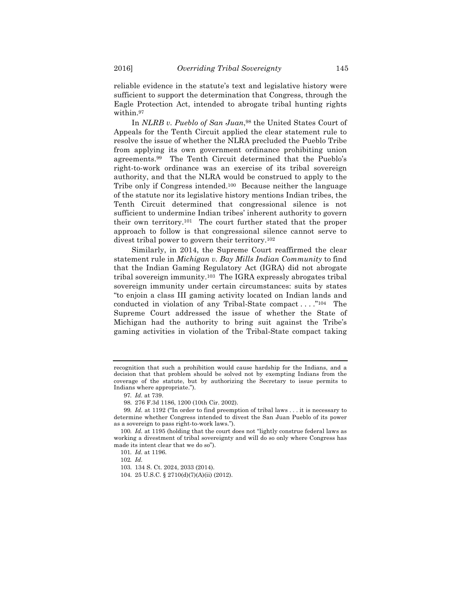reliable evidence in the statute's text and legislative history were sufficient to support the determination that Congress, through the Eagle Protection Act, intended to abrogate tribal hunting rights within.97

In *NLRB v. Pueblo of San Juan*,<sup>98</sup> the United States Court of Appeals for the Tenth Circuit applied the clear statement rule to resolve the issue of whether the NLRA precluded the Pueblo Tribe from applying its own government ordinance prohibiting union agreements.99 The Tenth Circuit determined that the Pueblo's right-to-work ordinance was an exercise of its tribal sovereign authority, and that the NLRA would be construed to apply to the Tribe only if Congress intended.100 Because neither the language of the statute nor its legislative history mentions Indian tribes, the Tenth Circuit determined that congressional silence is not sufficient to undermine Indian tribes' inherent authority to govern their own territory.101 The court further stated that the proper approach to follow is that congressional silence cannot serve to divest tribal power to govern their territory.102

Similarly, in 2014, the Supreme Court reaffirmed the clear statement rule in *Michigan v. Bay Mills Indian Community* to find that the Indian Gaming Regulatory Act (IGRA) did not abrogate tribal sovereign immunity.103 The IGRA expressly abrogates tribal sovereign immunity under certain circumstances: suits by states "to enjoin a class III gaming activity located on Indian lands and conducted in violation of any Tribal-State compact . . . ."104 The Supreme Court addressed the issue of whether the State of Michigan had the authority to bring suit against the Tribe's gaming activities in violation of the Tribal-State compact taking

104. 25 U.S.C. § 2710(d)(7)(A)(ii) (2012).

recognition that such a prohibition would cause hardship for the Indians, and a decision that that problem should be solved not by exempting Indians from the coverage of the statute, but by authorizing the Secretary to issue permits to Indians where appropriate.").

<sup>97</sup>*. Id.* at 739.

<sup>98.</sup> 276 F.3d 1186, 1200 (10th Cir. 2002).

<sup>99</sup>*. Id.* at 1192 ("In order to find preemption of tribal laws . . . it is necessary to determine whether Congress intended to divest the San Juan Pueblo of its power as a sovereign to pass right-to-work laws.").

<sup>100</sup>*. Id.* at 1195 (holding that the court does not "lightly construe federal laws as working a divestment of tribal sovereignty and will do so only where Congress has made its intent clear that we do so").

<sup>101</sup>*. Id.* at 1196.

<sup>102</sup>*. Id.*

<sup>103.</sup> 134 S. Ct. 2024, 2033 (2014).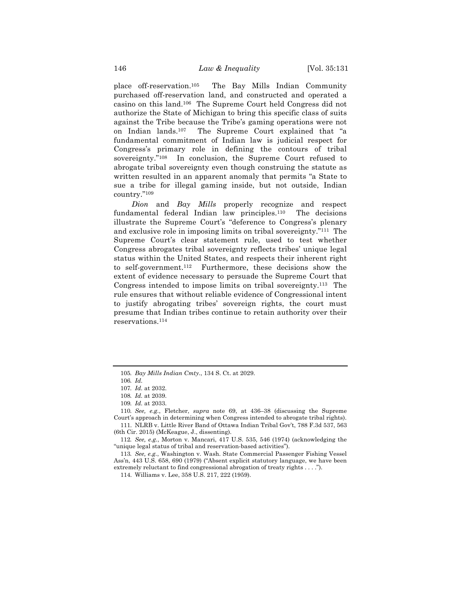place off-reservation.105 The Bay Mills Indian Community purchased off-reservation land, and constructed and operated a casino on this land.106 The Supreme Court held Congress did not authorize the State of Michigan to bring this specific class of suits against the Tribe because the Tribe's gaming operations were not on Indian lands.107 The Supreme Court explained that "a fundamental commitment of Indian law is judicial respect for Congress's primary role in defining the contours of tribal sovereignty."108 In conclusion, the Supreme Court refused to abrogate tribal sovereignty even though construing the statute as written resulted in an apparent anomaly that permits "a State to sue a tribe for illegal gaming inside, but not outside, Indian country."109

*Dion* and *Bay Mills* properly recognize and respect fundamental federal Indian law principles.110 The decisions illustrate the Supreme Court's "deference to Congress's plenary and exclusive role in imposing limits on tribal sovereignty."111 The Supreme Court's clear statement rule, used to test whether Congress abrogates tribal sovereignty reflects tribes' unique legal status within the United States, and respects their inherent right to self-government.112 Furthermore, these decisions show the extent of evidence necessary to persuade the Supreme Court that Congress intended to impose limits on tribal sovereignty.113 The rule ensures that without reliable evidence of Congressional intent to justify abrogating tribes' sovereign rights, the court must presume that Indian tribes continue to retain authority over their reservations.114

<sup>105</sup>*. Bay Mills Indian Cmty*., 134 S. Ct. at 2029.

<sup>106</sup>*. Id.*

<sup>107</sup>*. Id.* at 2032.

<sup>108</sup>*. Id.* at 2039.

<sup>109</sup>*. Id.* at 2033.

<sup>110</sup>*. See, e.g.*, Fletcher, *supra* note 69, at 436–38 (discussing the Supreme Court's approach in determining when Congress intended to abrogate tribal rights).

<sup>111.</sup> NLRB v. Little River Band of Ottawa Indian Tribal Gov't, 788 F.3d 537, 563 (6th Cir. 2015) (McKeague, J., dissenting).

<sup>112</sup>*. See, e.g.*, Morton v. Mancari, 417 U.S. 535, 546 (1974) (acknowledging the "unique legal status of tribal and reservation-based activities").

<sup>113</sup>*. See, e.g.*, Washington v. Wash. State Commercial Passenger Fishing Vessel Ass'n, 443 U.S. 658, 690 (1979) ("Absent explicit statutory language, we have been extremely reluctant to find congressional abrogation of treaty rights . . . .").

<sup>114.</sup> Williams v. Lee, 358 U.S. 217, 222 (1959).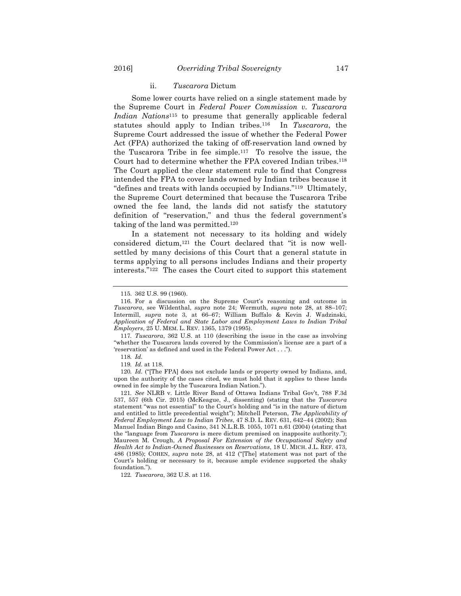#### ii. *Tuscarora* Dictum

Some lower courts have relied on a single statement made by the Supreme Court in *Federal Power Commission v. Tuscarora Indian Nations*<sup>115</sup> to presume that generally applicable federal statutes should apply to Indian tribes.116 In *Tuscarora*, the Supreme Court addressed the issue of whether the Federal Power Act (FPA) authorized the taking of off-reservation land owned by the Tuscarora Tribe in fee simple.117 To resolve the issue, the Court had to determine whether the FPA covered Indian tribes.118 The Court applied the clear statement rule to find that Congress intended the FPA to cover lands owned by Indian tribes because it "defines and treats with lands occupied by Indians."119 Ultimately, the Supreme Court determined that because the Tuscarora Tribe owned the fee land, the lands did not satisfy the statutory definition of "reservation," and thus the federal government's taking of the land was permitted.120

In a statement not necessary to its holding and widely considered dictum,121 the Court declared that "it is now wellsettled by many decisions of this Court that a general statute in terms applying to all persons includes Indians and their property interests."122 The cases the Court cited to support this statement

117*. Tuscarora*, 362 U.S. at 110 (describing the issue in the case as involving "whether the Tuscarora lands covered by the Commission's license are a part of a 'reservation' as defined and used in the Federal Power Act . . .").

118*. Id.*

119*. Id.* at 118.

120*. Id.* ("[The FPA] does not exclude lands or property owned by Indians, and, upon the authority of the cases cited, we must hold that it applies to these lands owned in fee simple by the Tuscarora Indian Nation.").

121*. See* NLRB v. Little River Band of Ottawa Indians Tribal Gov't, 788 F.3d 537, 557 (6th Cir. 2015) (McKeague, J., dissenting) (stating that the *Tuscarora*  statement "was not essential" to the Court's holding and "is in the nature of dictum and entitled to little precedential weight"); Mitchell Peterson, *The Applicability of Federal Employment Law to Indian Tribes*, 47 S.D. L. REV. 631, 642–44 (2002); San Manuel Indian Bingo and Casino, 341 N.L.R.B. 1055, 1071 n.61 (2004) (stating that the "language from *Tuscarora* is mere dictum premised on inapposite authority."); Maureen M. Crough, *A Proposal For Extension of the Occupational Safety and Health Act to Indian-Owned Businesses on Reservations*, 18 U. MICH. J.L. REF. 473, 486 (1985); COHEN, *supra* note 28, at 412 ("[The] statement was not part of the Court's holding or necessary to it, because ample evidence supported the shaky foundation.").

122*. Tuscarora*, 362 U.S. at 116.

<sup>115.</sup> 362 U.S. 99 (1960).

<sup>116.</sup> For a discussion on the Supreme Court's reasoning and outcome in *Tuscarora*, see Wildenthal, *supra* note 24; Wermuth, *supra* note 28, at 88–107; Intermill, *supra* note 3, at 66–67; William Buffalo & Kevin J. Wadzinski, *Application of Federal and State Labor and Employment Laws to Indian Tribal Employers*, 25 U. MEM. L. REV. 1365, 1379 (1995).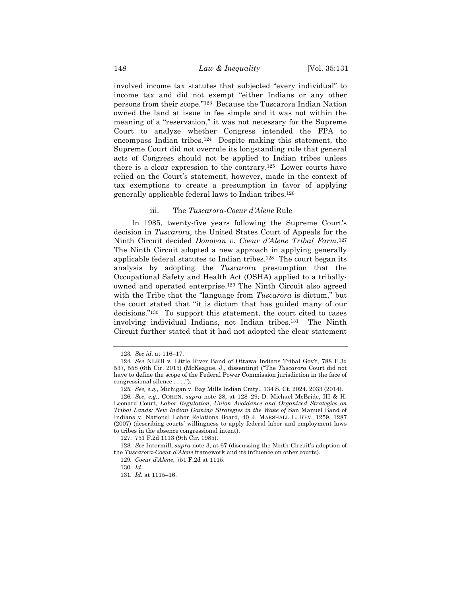involved income tax statutes that subjected "every individual" to income tax and did not exempt "either Indians or any other persons from their scope."123 Because the Tuscarora Indian Nation owned the land at issue in fee simple and it was not within the meaning of a "reservation," it was not necessary for the Supreme Court to analyze whether Congress intended the FPA to encompass Indian tribes.124 Despite making this statement, the Supreme Court did not overrule its longstanding rule that general acts of Congress should not be applied to Indian tribes unless there is a clear expression to the contrary.125 Lower courts have relied on the Court's statement, however, made in the context of tax exemptions to create a presumption in favor of applying generally applicable federal laws to Indian tribes.126

# iii. The *Tuscarora-Coeur d'Alene* Rule

In 1985, twenty-five years following the Supreme Court's decision in *Tuscarora*, the United States Court of Appeals for the Ninth Circuit decided *Donovan v. Coeur d'Alene Tribal Farm*.127 The Ninth Circuit adopted a new approach in applying generally applicable federal statutes to Indian tribes.128 The court began its analysis by adopting the *Tuscarora* presumption that the Occupational Safety and Health Act (OSHA) applied to a triballyowned and operated enterprise.129 The Ninth Circuit also agreed with the Tribe that the "language from *Tuscarora* is dictum," but the court stated that "it is dictum that has guided many of our decisions."130 To support this statement, the court cited to cases involving individual Indians, not Indian tribes.131 The Ninth Circuit further stated that it had not adopted the clear statement

<sup>123</sup>*. See id.* at 116–17.

<sup>124</sup>*. See* NLRB v. Little River Band of Ottawa Indians Tribal Gov't, 788 F.3d 537, 558 (6th Cir. 2015) (McKeague, J., dissenting) ("The *Tuscarora* Court did not have to define the scope of the Federal Power Commission jurisdiction in the face of congressional silence . . . .").

<sup>125</sup>*. See, e.g.*, Michigan v. Bay Mills Indian Cmty., 134 S. Ct. 2024. 2033 (2014).

<sup>126</sup>*. See, e.g.*, COHEN, *supra* note 28, at 128–29; D. Michael McBride, III & H. Leonard Court, *Labor Regulation, Union Avoidance and Organized Strategies on Tribal Lands: New Indian Gaming Strategies in the Wake of* San Manuel Band of Indians v. National Labor Relations Board, 40 J. MARSHALL L. REV. 1259, 1287 (2007) (describing courts' willingness to apply federal labor and employment laws to tribes in the absence congressional intent).

<sup>127.</sup> 751 F.2d 1113 (9th Cir. 1985).

<sup>128</sup>*. See* Intermill, *supra* note 3, at 67 (discussing the Ninth Circuit's adoption of the *Tuscarora-Coeur d'Alene* framework and its influence on other courts).

<sup>129</sup>*. Coeur d'Alene*, 751 F.2d at 1115.

<sup>130</sup>*. Id*.

<sup>131</sup>*. Id.* at 1115–16.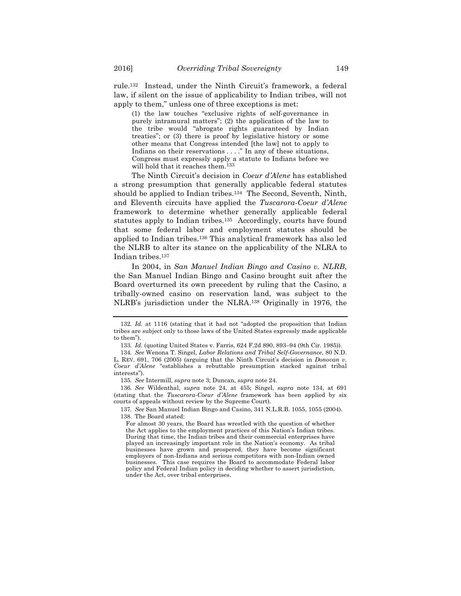rule.132 Instead, under the Ninth Circuit's framework, a federal law, if silent on the issue of applicability to Indian tribes, will not apply to them," unless one of three exceptions is met:

(1) the law touches "exclusive rights of self-governance in purely intramural matters"; (2) the application of the law to the tribe would "abrogate rights guaranteed by Indian treaties"; or (3) there is proof by legislative history or some other means that Congress intended [the law] not to apply to Indians on their reservations . . . ." In any of these situations, Congress must expressly apply a statute to Indians before we will hold that it reaches them.133

The Ninth Circuit's decision in *Coeur d'Alene* has established a strong presumption that generally applicable federal statutes should be applied to Indian tribes.134 The Second, Seventh, Ninth, and Eleventh circuits have applied the *Tuscarora*-*Coeur d'Alene*  framework to determine whether generally applicable federal statutes apply to Indian tribes.135 Accordingly, courts have found that some federal labor and employment statutes should be applied to Indian tribes.136 This analytical framework has also led the NLRB to alter its stance on the applicability of the NLRA to Indian tribes.137

In 2004, in *San Manuel Indian Bingo and Casino v. NLRB*, the San Manuel Indian Bingo and Casino brought suit after the Board overturned its own precedent by ruling that the Casino, a tribally-owned casino on reservation land, was subject to the NLRB's jurisdiction under the NLRA.138 Originally in 1976, the

<sup>132</sup>*. Id.* at 1116 (stating that it had not "adopted the proposition that Indian tribes are subject only to those laws of the United States expressly made applicable to them").

<sup>133</sup>*. Id.* (quoting United States v. Farris, 624 F.2d 890, 893–94 (9th Cir. 1985)).

<sup>134</sup>*. See* Wenona T. Singel, *Labor Relations and Tribal Self-Governance*, 80 N.D. L. REV. 691, 706 (2005) (arguing that the Ninth Circuit's decision in *Donovan v. Coeur d'Alene* "establishes a rebuttable presumption stacked against tribal interests").

<sup>135</sup>*. See* Intermill, *supra* note 3; Duncan, *supra* note 24.

<sup>136</sup>*. See* Wildenthal, *supra* note 24, at 455; Singel, *supra* note 134, at 691 (stating that the *Tuscarora-Coeur d'Alene* framework has been applied by six courts of appeals without review by the Supreme Court).

<sup>137</sup>*. See* San Manuel Indian Bingo and Casino, 341 N.L.R.B. 1055, 1055 (2004). 138. The Board stated:

For almost 30 years, the Board has wrestled with the question of whether the Act applies to the employment practices of this Nation's Indian tribes. During that time, the Indian tribes and their commercial enterprises have played an increasingly important role in the Nation's economy. As tribal businesses have grown and prospered, they have become significant employers of non-Indians and serious competitors with non-Indian owned businesses. This case requires the Board to accommodate Federal labor policy and Federal Indian policy in deciding whether to assert jurisdiction, under the Act, over tribal enterprises.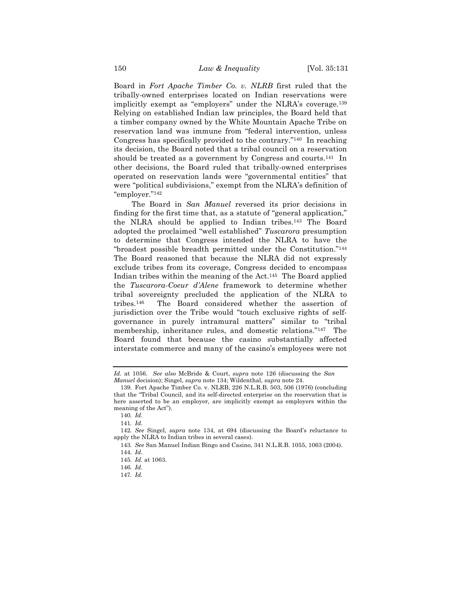Board in *Fort Apache Timber Co. v. NLRB* first ruled that the tribally-owned enterprises located on Indian reservations were implicitly exempt as "employers" under the NLRA's coverage.<sup>139</sup> Relying on established Indian law principles, the Board held that a timber company owned by the White Mountain Apache Tribe on reservation land was immune from "federal intervention, unless Congress has specifically provided to the contrary."140 In reaching its decision, the Board noted that a tribal council on a reservation should be treated as a government by Congress and courts.<sup>141</sup> In other decisions, the Board ruled that tribally-owned enterprises operated on reservation lands were "governmental entities" that were "political subdivisions," exempt from the NLRA's definition of "employer."142

The Board in *San Manuel* reversed its prior decisions in finding for the first time that, as a statute of "general application," the NLRA should be applied to Indian tribes.143 The Board adopted the proclaimed "well established" *Tuscarora* presumption to determine that Congress intended the NLRA to have the "broadest possible breadth permitted under the Constitution."144 The Board reasoned that because the NLRA did not expressly exclude tribes from its coverage, Congress decided to encompass Indian tribes within the meaning of the Act.145 The Board applied the *Tuscarora*-*Coeur d'Alene* framework to determine whether tribal sovereignty precluded the application of the NLRA to tribes.146 The Board considered whether the assertion of jurisdiction over the Tribe would "touch exclusive rights of selfgovernance in purely intramural matters" similar to "tribal membership, inheritance rules, and domestic relations."147 The Board found that because the casino substantially affected interstate commerce and many of the casino's employees were not

*Id.* at 1056. *See also* McBride & Court, *supra* note 126 (discussing the *San Manuel* decision); Singel, *supra* note 134; Wildenthal, *supra* note 24.

<sup>139.</sup> Fort Apache Timber Co. v. NLRB, 226 N.L.R.B. 503, 506 (1976) (concluding that the "Tribal Council, and its self-directed enterprise on the reservation that is here asserted to be an employer, are implicitly exempt as employers within the meaning of the Act").

<sup>140</sup>*. Id.*

<sup>141</sup>*. Id.*

<sup>142</sup>*. See* Singel, *supra* note 134, at 694 (discussing the Board's reluctance to apply the NLRA to Indian tribes in several cases).

<sup>143</sup>*. See* San Manuel Indian Bingo and Casino, 341 N.L.R.B. 1055, 1063 (2004).

<sup>144</sup>*. Id.*

<sup>145</sup>*. Id.* at 1063.

<sup>146</sup>*. Id.*

<sup>147</sup>*. Id.*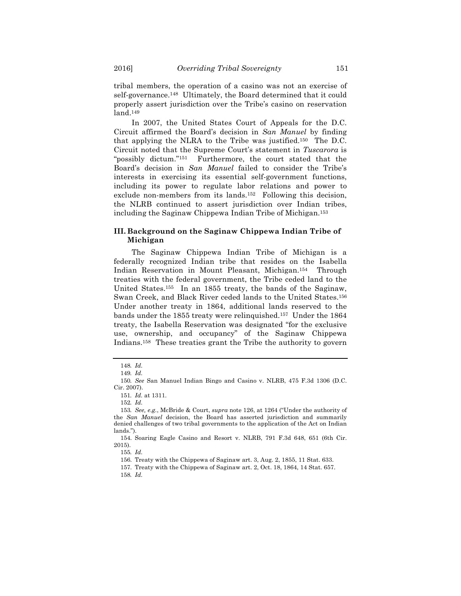tribal members, the operation of a casino was not an exercise of self-governance.<sup>148</sup> Ultimately, the Board determined that it could properly assert jurisdiction over the Tribe's casino on reservation land.149

In 2007, the United States Court of Appeals for the D.C. Circuit affirmed the Board's decision in *San Manuel* by finding that applying the NLRA to the Tribe was justified.150 The D.C. Circuit noted that the Supreme Court's statement in *Tuscarora* is "possibly dictum."151 Furthermore, the court stated that the Board's decision in *San Manuel* failed to consider the Tribe's interests in exercising its essential self-government functions, including its power to regulate labor relations and power to exclude non-members from its lands.<sup>152</sup> Following this decision, the NLRB continued to assert jurisdiction over Indian tribes, including the Saginaw Chippewa Indian Tribe of Michigan.153

# **III. Background on the Saginaw Chippewa Indian Tribe of Michigan**

The Saginaw Chippewa Indian Tribe of Michigan is a federally recognized Indian tribe that resides on the Isabella Indian Reservation in Mount Pleasant, Michigan.154 Through treaties with the federal government, the Tribe ceded land to the United States.155 In an 1855 treaty, the bands of the Saginaw, Swan Creek, and Black River ceded lands to the United States.156 Under another treaty in 1864, additional lands reserved to the bands under the 1855 treaty were relinquished.157 Under the 1864 treaty, the Isabella Reservation was designated "for the exclusive use, ownership, and occupancy" of the Saginaw Chippewa Indians.158 These treaties grant the Tribe the authority to govern

<sup>148</sup>*. Id.*

<sup>149</sup>*. Id.*

<sup>150</sup>*. See* San Manuel Indian Bingo and Casino v. NLRB, 475 F.3d 1306 (D.C. Cir. 2007).

<sup>151</sup>*. Id.* at 1311.

<sup>152</sup>*. Id.*

<sup>153</sup>*. See, e.g.*, McBride & Court, *supra* note 126, at 1264 ("Under the authority of the *San Manuel* decision, the Board has asserted jurisdiction and summarily denied challenges of two tribal governments to the application of the Act on Indian lands.").

<sup>154.</sup> Soaring Eagle Casino and Resort v. NLRB, 791 F.3d 648, 651 (6th Cir. 2015).

<sup>155</sup>*. Id.*

<sup>156.</sup> Treaty with the Chippewa of Saginaw art. 3, Aug. 2, 1855, 11 Stat. 633.

<sup>157.</sup> Treaty with the Chippewa of Saginaw art. 2, Oct. 18, 1864, 14 Stat. 657. 158*. Id.*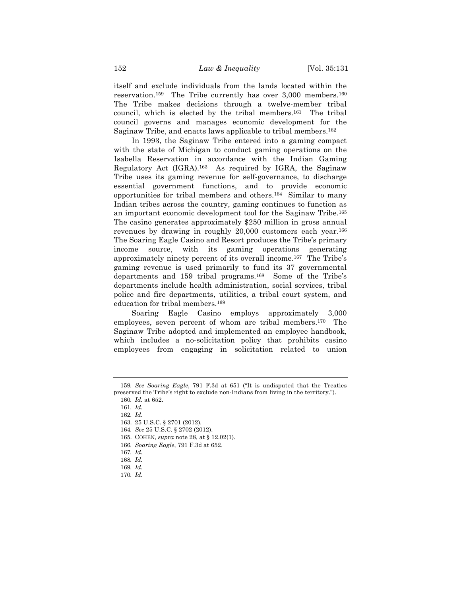itself and exclude individuals from the lands located within the reservation.159The Tribe currently has over 3,000 members.160 The Tribe makes decisions through a twelve-member tribal council, which is elected by the tribal members.161 The tribal council governs and manages economic development for the Saginaw Tribe, and enacts laws applicable to tribal members.162

In 1993, the Saginaw Tribe entered into a gaming compact with the state of Michigan to conduct gaming operations on the Isabella Reservation in accordance with the Indian Gaming Regulatory Act (IGRA).163 As required by IGRA, the Saginaw Tribe uses its gaming revenue for self-governance, to discharge essential government functions, and to provide economic opportunities for tribal members and others.164 Similar to many Indian tribes across the country, gaming continues to function as an important economic development tool for the Saginaw Tribe.165 The casino generates approximately \$250 million in gross annual revenues by drawing in roughly 20,000 customers each year.166 The Soaring Eagle Casino and Resort produces the Tribe's primary income source, with its gaming operations generating approximately ninety percent of its overall income.167 The Tribe's gaming revenue is used primarily to fund its 37 governmental departments and 159 tribal programs.168 Some of the Tribe's departments include health administration, social services, tribal police and fire departments, utilities, a tribal court system, and education for tribal members.169

Soaring Eagle Casino employs approximately 3,000 employees, seven percent of whom are tribal members.170 The Saginaw Tribe adopted and implemented an employee handbook, which includes a no-solicitation policy that prohibits casino employees from engaging in solicitation related to union

<sup>159</sup>*. See Soaring Eagle*, 791 F.3d at 651 ("It is undisputed that the Treaties preserved the Tribe's right to exclude non-Indians from living in the territory.").

<sup>160</sup>*. Id.* at 652.

<sup>161</sup>*. Id.*

<sup>162</sup>*. Id.*

<sup>163.</sup> 25 U.S.C. § 2701 (2012)*.*

<sup>164</sup>*. See* 25 U.S.C. § 2702 (2012).

<sup>165.</sup> COHEN, *supra* note 28, at § 12.02(1).

<sup>166</sup>*. Soaring Eagle*, 791 F.3d at 652.

<sup>167</sup>*. Id.*

<sup>168</sup>*. Id.*

<sup>169</sup>*. Id.*

<sup>170</sup>*. Id.*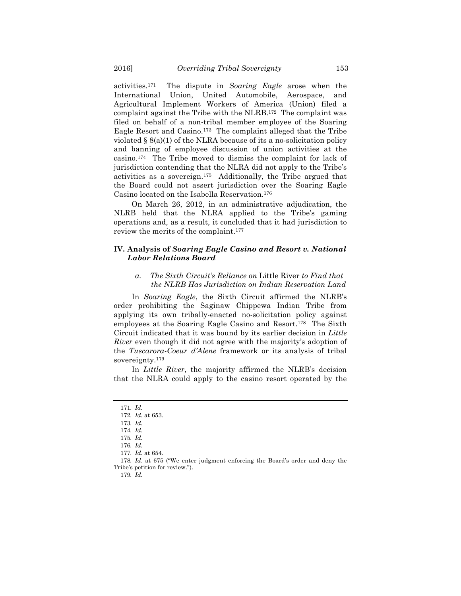activities.171 The dispute in *Soaring Eagle* arose when the International Union, United Automobile, Aerospace, and Agricultural Implement Workers of America (Union) filed a complaint against the Tribe with the NLRB.172 The complaint was filed on behalf of a non-tribal member employee of the Soaring Eagle Resort and Casino.173 The complaint alleged that the Tribe violated  $\S$  8(a)(1) of the NLRA because of its a no-solicitation policy and banning of employee discussion of union activities at the casino.174 The Tribe moved to dismiss the complaint for lack of jurisdiction contending that the NLRA did not apply to the Tribe's activities as a sovereign.175 Additionally, the Tribe argued that the Board could not assert jurisdiction over the Soaring Eagle Casino located on the Isabella Reservation.176

On March 26, 2012, in an administrative adjudication, the NLRB held that the NLRA applied to the Tribe's gaming operations and, as a result, it concluded that it had jurisdiction to review the merits of the complaint.177

# **IV. Analysis of** *Soaring Eagle Casino and Resort v. National Labor Relations Board*

# *a. The Sixth Circuit's Reliance on* Little River *to Find that the NLRB Has Jurisdiction on Indian Reservation Land*

In *Soaring Eagle*, the Sixth Circuit affirmed the NLRB's order prohibiting the Saginaw Chippewa Indian Tribe from applying its own tribally-enacted no-solicitation policy against employees at the Soaring Eagle Casino and Resort.178 The Sixth Circuit indicated that it was bound by its earlier decision in *Little River* even though it did not agree with the majority's adoption of the *Tuscarora*-*Coeur d'Alene* framework or its analysis of tribal sovereignty.179

In *Little River*, the majority affirmed the NLRB's decision that the NLRA could apply to the casino resort operated by the

<sup>171</sup>*. Id.* 172*. Id.* at 653.

<sup>173</sup>*. Id.*

<sup>174</sup>*. Id.*

<sup>175</sup>*. Id.*

<sup>176</sup>*. Id.*

<sup>177</sup>*. Id.* at 654.

<sup>178</sup>*. Id*. at 675 ("We enter judgment enforcing the Board's order and deny the Tribe's petition for review.").

<sup>179</sup>*. Id.*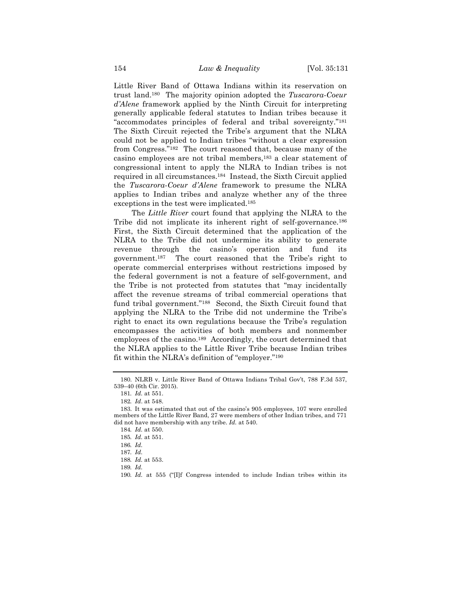Little River Band of Ottawa Indians within its reservation on trust land.180 The majority opinion adopted the *Tuscarora*-*Coeur d'Alene* framework applied by the Ninth Circuit for interpreting generally applicable federal statutes to Indian tribes because it "accommodates principles of federal and tribal sovereignty."181 The Sixth Circuit rejected the Tribe's argument that the NLRA could not be applied to Indian tribes "without a clear expression from Congress."182 The court reasoned that, because many of the casino employees are not tribal members,183 a clear statement of congressional intent to apply the NLRA to Indian tribes is not required in all circumstances.184 Instead, the Sixth Circuit applied the *Tuscarora*-*Coeur d'Alene* framework to presume the NLRA applies to Indian tribes and analyze whether any of the three exceptions in the test were implicated.185

The *Little River* court found that applying the NLRA to the Tribe did not implicate its inherent right of self-governance.186 First, the Sixth Circuit determined that the application of the NLRA to the Tribe did not undermine its ability to generate revenue through the casino's operation and fund its government.187 The court reasoned that the Tribe's right to operate commercial enterprises without restrictions imposed by the federal government is not a feature of self-government, and the Tribe is not protected from statutes that "may incidentally affect the revenue streams of tribal commercial operations that fund tribal government."188 Second, the Sixth Circuit found that applying the NLRA to the Tribe did not undermine the Tribe's right to enact its own regulations because the Tribe's regulation encompasses the activities of both members and nonmember employees of the casino.189 Accordingly, the court determined that the NLRA applies to the Little River Tribe because Indian tribes fit within the NLRA's definition of "employer."190

<sup>180.</sup> NLRB v. Little River Band of Ottawa Indians Tribal Gov't, 788 F.3d 537, 539–40 (6th Cir. 2015).

<sup>181</sup>*. Id.* at 551.

<sup>182</sup>*. Id*. at 548.

<sup>183.</sup> It was estimated that out of the casino's 905 employees, 107 were enrolled members of the Little River Band, 27 were members of other Indian tribes, and 771 did not have membership with any tribe. *Id.* at 540.

<sup>184</sup>*. Id.* at 550.

<sup>185</sup>*. Id.* at 551.

<sup>186</sup>*. Id.*

<sup>187</sup>*. Id.*

<sup>188</sup>*. Id.* at 553.

<sup>189</sup>*. Id.*

<sup>190</sup>*. Id.* at 555 ("[I]f Congress intended to include Indian tribes within its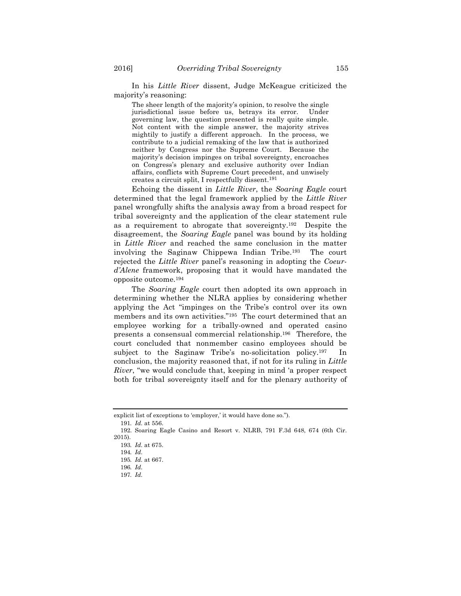In his *Little River* dissent, Judge McKeague criticized the majority's reasoning:

The sheer length of the majority's opinion, to resolve the single jurisdictional issue before us, betrays its error. Under governing law, the question presented is really quite simple. Not content with the simple answer, the majority strives mightily to justify a different approach. In the process, we contribute to a judicial remaking of the law that is authorized neither by Congress nor the Supreme Court. Because the majority's decision impinges on tribal sovereignty, encroaches on Congress's plenary and exclusive authority over Indian affairs, conflicts with Supreme Court precedent, and unwisely creates a circuit split, I respectfully dissent.191

Echoing the dissent in *Little River*, the *Soaring Eagle* court determined that the legal framework applied by the *Little River*  panel wrongfully shifts the analysis away from a broad respect for tribal sovereignty and the application of the clear statement rule as a requirement to abrogate that sovereignty.192 Despite the disagreement, the *Soaring Eagle* panel was bound by its holding in *Little River* and reached the same conclusion in the matter involving the Saginaw Chippewa Indian Tribe.193 The court rejected the *Little River* panel's reasoning in adopting the *Coeurd'Alene* framework, proposing that it would have mandated the opposite outcome.194

The *Soaring Eagle* court then adopted its own approach in determining whether the NLRA applies by considering whether applying the Act "impinges on the Tribe's control over its own members and its own activities."195 The court determined that an employee working for a tribally-owned and operated casino presents a consensual commercial relationship.196 Therefore, the court concluded that nonmember casino employees should be subject to the Saginaw Tribe's no-solicitation policy.197 In conclusion, the majority reasoned that, if not for its ruling in *Little River*, "we would conclude that, keeping in mind 'a proper respect both for tribal sovereignty itself and for the plenary authority of

explicit list of exceptions to 'employer,' it would have done so.").

<sup>191</sup>*. Id.* at 556.

<sup>192.</sup> Soaring Eagle Casino and Resort v. NLRB, 791 F.3d 648, 674 (6th Cir. 2015).

<sup>193</sup>*. Id.* at 675.

<sup>194</sup>*. Id.*

<sup>195</sup>*. Id.* at 667.

<sup>196</sup>*. Id.*

<sup>197</sup>*. Id.*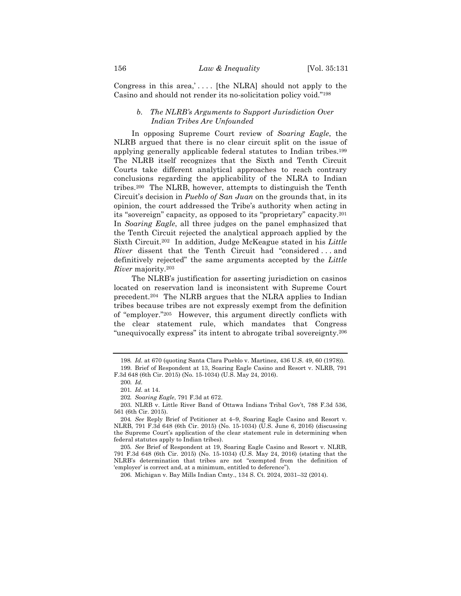Congress in this area,'.... [the NLRA] should not apply to the Casino and should not render its no-solicitation policy void."198

# *b. The NLRB's Arguments to Support Jurisdiction Over Indian Tribes Are Unfounded*

In opposing Supreme Court review of *Soaring Eagle*, the NLRB argued that there is no clear circuit split on the issue of applying generally applicable federal statutes to Indian tribes.199 The NLRB itself recognizes that the Sixth and Tenth Circuit Courts take different analytical approaches to reach contrary conclusions regarding the applicability of the NLRA to Indian tribes.200 The NLRB, however, attempts to distinguish the Tenth Circuit's decision in *Pueblo of San Juan* on the grounds that, in its opinion, the court addressed the Tribe's authority when acting in its "sovereign" capacity, as opposed to its "proprietary" capacity.201 In *Soaring Eagle*, all three judges on the panel emphasized that the Tenth Circuit rejected the analytical approach applied by the Sixth Circuit.202 In addition, Judge McKeague stated in his *Little River* dissent that the Tenth Circuit had "considered . . . and definitively rejected" the same arguments accepted by the *Little River* majority.203

The NLRB's justification for asserting jurisdiction on casinos located on reservation land is inconsistent with Supreme Court precedent.204 The NLRB argues that the NLRA applies to Indian tribes because tribes are not expressly exempt from the definition of "employer."205 However, this argument directly conflicts with the clear statement rule, which mandates that Congress "unequivocally express" its intent to abrogate tribal sovereignty.206

<sup>198</sup>*. Id.* at 670 (quoting Santa Clara Pueblo v. Martinez, 436 U.S. 49, 60 (1978)). 199. Brief of Respondent at 13, Soaring Eagle Casino and Resort v. NLRB, 791 F.3d 648 (6th Cir. 2015) (No. 15-1034) (U.S. May 24, 2016).

<sup>200</sup>*. Id.*

<sup>201</sup>*. Id.* at 14.

<sup>202</sup>*. Soaring Eagle*, 791 F.3d at 672.

<sup>203.</sup> NLRB v. Little River Band of Ottawa Indians Tribal Gov't, 788 F.3d 536, 561 (6th Cir. 2015).

<sup>204</sup>*. See* Reply Brief of Petitioner at 4–9, Soaring Eagle Casino and Resort v. NLRB, 791 F.3d 648 (6th Cir. 2015) (No. 15-1034) (U.S. June 6, 2016) (discussing the Supreme Court's application of the clear statement rule in determining when federal statutes apply to Indian tribes).

<sup>205</sup>*. See* Brief of Respondent at 19, Soaring Eagle Casino and Resort v. NLRB, 791 F.3d 648 (6th Cir. 2015) (No. 15-1034) (U.S. May 24, 2016) (stating that the NLRB's determination that tribes are not "exempted from the definition of 'employer' is correct and, at a minimum, entitled to deference").

<sup>206.</sup> Michigan v. Bay Mills Indian Cmty., 134 S. Ct. 2024, 2031–32 (2014).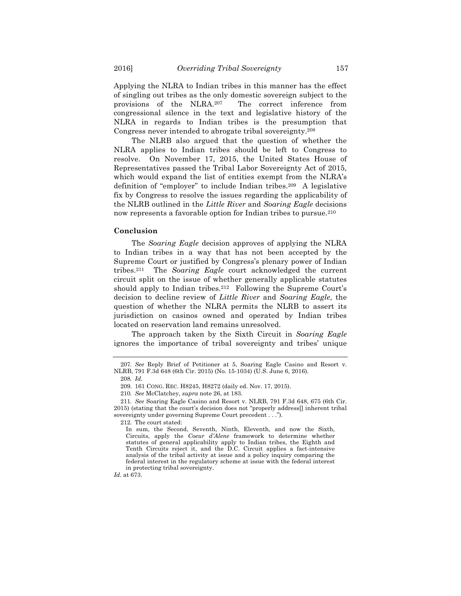Applying the NLRA to Indian tribes in this manner has the effect of singling out tribes as the only domestic sovereign subject to the provisions of the NLRA.207 The correct inference from congressional silence in the text and legislative history of the NLRA in regards to Indian tribes is the presumption that Congress never intended to abrogate tribal sovereignty.208

The NLRB also argued that the question of whether the NLRA applies to Indian tribes should be left to Congress to resolve. On November 17, 2015, the United States House of Representatives passed the Tribal Labor Sovereignty Act of 2015, which would expand the list of entities exempt from the NLRA's definition of "employer" to include Indian tribes.209 A legislative fix by Congress to resolve the issues regarding the applicability of the NLRB outlined in the *Little River* and *Soaring Eagle* decisions now represents a favorable option for Indian tribes to pursue.210

### **Conclusion**

The *Soaring Eagle* decision approves of applying the NLRA to Indian tribes in a way that has not been accepted by the Supreme Court or justified by Congress's plenary power of Indian tribes.211 The *Soaring Eagle* court acknowledged the current circuit split on the issue of whether generally applicable statutes should apply to Indian tribes.212 Following the Supreme Court's decision to decline review of *Little River* and *Soaring Eagle*, the question of whether the NLRA permits the NLRB to assert its jurisdiction on casinos owned and operated by Indian tribes located on reservation land remains unresolved.

The approach taken by the Sixth Circuit in *Soaring Eagle* ignores the importance of tribal sovereignty and tribes' unique

*Id.* at 673.

<sup>207</sup>*. See* Reply Brief of Petitioner at 5, Soaring Eagle Casino and Resort v. NLRB, 791 F.3d 648 (6th Cir. 2015) (No. 15-1034) (U.S. June 6, 2016).

<sup>208</sup>*. Id.*

<sup>209.</sup> 161 CONG. REC. H8245, H8272 (daily ed. Nov. 17, 2015).

<sup>210</sup>*. See* McClatchey, *supra* note 26, at 183.

<sup>211</sup>*. See* Soaring Eagle Casino and Resort v. NLRB, 791 F.3d 648, 675 (6th Cir. 2015) (stating that the court's decision does not "properly address[] inherent tribal sovereignty under governing Supreme Court precedent . . .").

<sup>212.</sup> The court stated:

In sum, the Second, Seventh, Ninth, Eleventh, and now the Sixth, Circuits, apply the *Coeur d'Alene* framework to determine whether statutes of general applicability apply to Indian tribes, the Eighth and Tenth Circuits reject it, and the D.C. Circuit applies a fact-intensive analysis of the tribal activity at issue and a policy inquiry comparing the federal interest in the regulatory scheme at issue with the federal interest in protecting tribal sovereignty.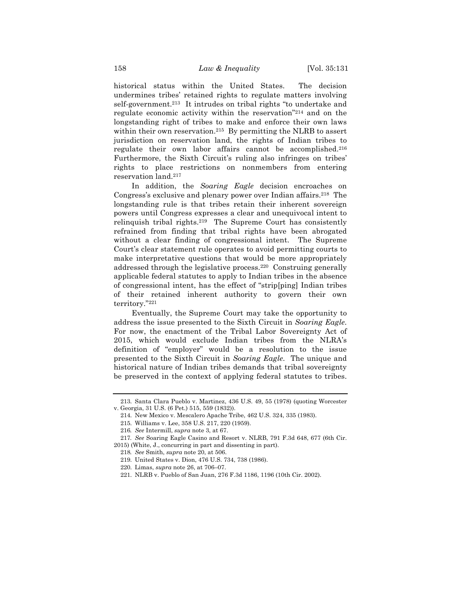historical status within the United States. The decision undermines tribes' retained rights to regulate matters involving self-government.213 It intrudes on tribal rights "to undertake and regulate economic activity within the reservation"214 and on the longstanding right of tribes to make and enforce their own laws within their own reservation.<sup>215</sup> By permitting the NLRB to assert jurisdiction on reservation land, the rights of Indian tribes to regulate their own labor affairs cannot be accomplished.216 Furthermore, the Sixth Circuit's ruling also infringes on tribes' rights to place restrictions on nonmembers from entering reservation land.217

In addition, the *Soaring Eagle* decision encroaches on Congress's exclusive and plenary power over Indian affairs.218 The longstanding rule is that tribes retain their inherent sovereign powers until Congress expresses a clear and unequivocal intent to relinquish tribal rights.219 The Supreme Court has consistently refrained from finding that tribal rights have been abrogated without a clear finding of congressional intent. The Supreme Court's clear statement rule operates to avoid permitting courts to make interpretative questions that would be more appropriately addressed through the legislative process.220 Construing generally applicable federal statutes to apply to Indian tribes in the absence of congressional intent, has the effect of "strip[ping] Indian tribes of their retained inherent authority to govern their own territory."221

Eventually, the Supreme Court may take the opportunity to address the issue presented to the Sixth Circuit in *Soaring Eagle*. For now, the enactment of the Tribal Labor Sovereignty Act of 2015, which would exclude Indian tribes from the NLRA's definition of "employer" would be a resolution to the issue presented to the Sixth Circuit in *Soaring Eagle*. The unique and historical nature of Indian tribes demands that tribal sovereignty be preserved in the context of applying federal statutes to tribes.

<sup>213.</sup> Santa Clara Pueblo v. Martinez, 436 U.S. 49, 55 (1978) (quoting Worcester v. Georgia, 31 U.S. (6 Pet.) 515, 559 (1832)).

<sup>214.</sup> New Mexico v. Mescalero Apache Tribe, 462 U.S. 324, 335 (1983).

<sup>215.</sup> Williams v. Lee, 358 U.S. 217, 220 (1959).

<sup>216</sup>*. See* Intermill, *supra* note 3, at 67.

<sup>217</sup>*. See* Soaring Eagle Casino and Resort v. NLRB, 791 F.3d 648, 677 (6th Cir. 2015) (White, J., concurring in part and dissenting in part).

<sup>218</sup>*. See* Smith, *supra* note 20, at 506.

<sup>219.</sup> United States v. Dion, 476 U.S. 734, 738 (1986).

<sup>220.</sup> Limas, *supra* note 26, at 706–07.

<sup>221.</sup> NLRB v. Pueblo of San Juan, 276 F.3d 1186, 1196 (10th Cir. 2002).